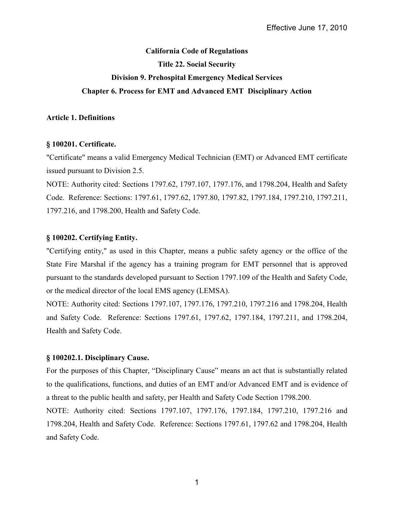# **California Code of Regulations Title 22. Social Security Division 9. Prehospital Emergency Medical Services Chapter 6. Process for EMT and Advanced EMT Disciplinary Action**

# **Article 1. Definitions**

# **§ 100201. Certificate.**

"Certificate" means a valid Emergency Medical Technician (EMT) or Advanced EMT certificate issued pursuant to Division 2.5.

NOTE: Authority cited: Sections 1797.62, 1797.107, 1797.176, and 1798.204, Health and Safety Code. Reference: Sections: 1797.61, 1797.62, 1797.80, 1797.82, 1797.184, 1797.210, 1797.211, 1797.216, and 1798.200, Health and Safety Code.

# **§ 100202. Certifying Entity.**

"Certifying entity," as used in this Chapter, means a public safety agency or the office of the State Fire Marshal if the agency has a training program for EMT personnel that is approved pursuant to the standards developed pursuant to Section 1797.109 of the Health and Safety Code, or the medical director of the local EMS agency (LEMSA).

NOTE: Authority cited: Sections 1797.107, 1797.176, 1797.210, 1797.216 and 1798.204, Health and Safety Code. Reference: Sections 1797.61, 1797.62, 1797.184, 1797.211, and 1798.204, Health and Safety Code.

# **§ 100202.1. Disciplinary Cause.**

For the purposes of this Chapter, "Disciplinary Cause" means an act that is substantially related to the qualifications, functions, and duties of an EMT and/or Advanced EMT and is evidence of a threat to the public health and safety, per Health and Safety Code Section 1798.200.

NOTE: Authority cited: Sections 1797.107, 1797.176, 1797.184, 1797.210, 1797.216 and 1798.204, Health and Safety Code. Reference: Sections 1797.61, 1797.62 and 1798.204, Health and Safety Code.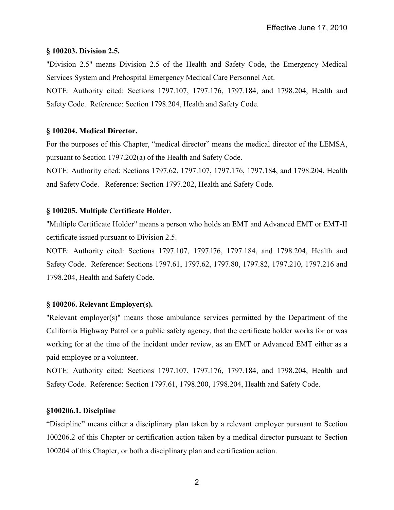# **§ 100203. Division 2.5.**

"Division 2.5" means Division 2.5 of the Health and Safety Code, the Emergency Medical Services System and Prehospital Emergency Medical Care Personnel Act.

NOTE: Authority cited: Sections 1797.107, 1797.176, 1797.184, and 1798.204, Health and Safety Code. Reference: Section 1798.204, Health and Safety Code.

# **§ 100204. Medical Director.**

For the purposes of this Chapter, "medical director" means the medical director of the LEMSA, pursuant to Section 1797.202(a) of the Health and Safety Code.

NOTE: Authority cited: Sections 1797.62, 1797.107, 1797.176, 1797.184, and 1798.204, Health and Safety Code. Reference: Section 1797.202, Health and Safety Code.

# **§ 100205. Multiple Certificate Holder.**

"Multiple Certificate Holder" means a person who holds an EMT and Advanced EMT or EMT-II certificate issued pursuant to Division 2.5.

NOTE: Authority cited: Sections 1797.107, 1797.l76, 1797.184, and 1798.204, Health and Safety Code. Reference: Sections 1797.61, 1797.62, 1797.80, 1797.82, 1797.210, 1797.216 and 1798.204, Health and Safety Code.

# **§ 100206. Relevant Employer(s).**

"Relevant employer(s)" means those ambulance services permitted by the Department of the California Highway Patrol or a public safety agency, that the certificate holder works for or was working for at the time of the incident under review, as an EMT or Advanced EMT either as a paid employee or a volunteer.

NOTE: Authority cited: Sections 1797.107, 1797.176, 1797.184, and 1798.204, Health and Safety Code. Reference: Section 1797.61, 1798.200, 1798.204, Health and Safety Code.

## **§100206.1. Discipline**

"Discipline" means either a disciplinary plan taken by a relevant employer pursuant to Section 100206.2 of this Chapter or certification action taken by a medical director pursuant to Section 100204 of this Chapter, or both a disciplinary plan and certification action.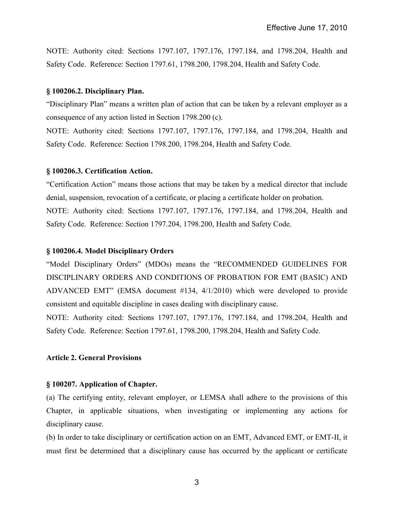NOTE: Authority cited: Sections 1797.107, 1797.176, 1797.184, and 1798.204, Health and Safety Code. Reference: Section 1797.61, 1798.200, 1798.204, Health and Safety Code.

#### **§ 100206.2. Disciplinary Plan.**

"Disciplinary Plan" means a written plan of action that can be taken by a relevant employer as a consequence of any action listed in Section 1798.200 (c).

NOTE: Authority cited: Sections 1797.107, 1797.176, 1797.184, and 1798.204, Health and Safety Code. Reference: Section 1798.200, 1798.204, Health and Safety Code.

#### **§ 100206.3. Certification Action.**

"Certification Action" means those actions that may be taken by a medical director that include denial, suspension, revocation of a certificate, or placing a certificate holder on probation. NOTE: Authority cited: Sections 1797.107, 1797.176, 1797.184, and 1798.204, Health and Safety Code. Reference: Section 1797.204, 1798.200, Health and Safety Code.

#### **§ 100206.4. Model Disciplinary Orders**

"Model Disciplinary Orders" (MDOs) means the "RECOMMENDED GUIDELINES FOR DISCIPLINARY ORDERS AND CONDITIONS OF PROBATION FOR EMT (BASIC) AND ADVANCED EMT" (EMSA document #134, 4/1/2010) which were developed to provide consistent and equitable discipline in cases dealing with disciplinary cause.

NOTE: Authority cited: Sections 1797.107, 1797.176, 1797.184, and 1798.204, Health and Safety Code. Reference: Section 1797.61, 1798.200, 1798.204, Health and Safety Code.

## **Article 2. General Provisions**

#### **§ 100207. Application of Chapter.**

(a) The certifying entity, relevant employer, or LEMSA shall adhere to the provisions of this Chapter, in applicable situations, when investigating or implementing any actions for disciplinary cause.

(b) In order to take disciplinary or certification action on an EMT, Advanced EMT, or EMT-II, it must first be determined that a disciplinary cause has occurred by the applicant or certificate

3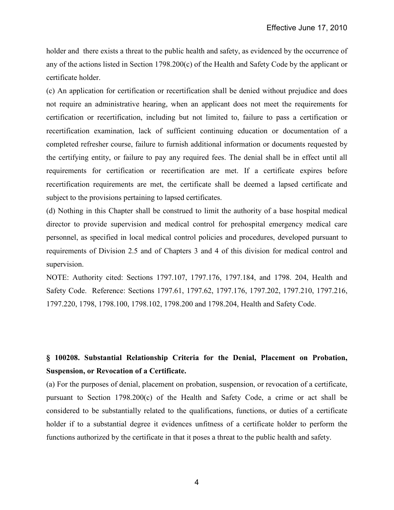holder and there exists a threat to the public health and safety, as evidenced by the occurrence of any of the actions listed in Section 1798.200(c) of the Health and Safety Code by the applicant or certificate holder.

(c) An application for certification or recertification shall be denied without prejudice and does not require an administrative hearing, when an applicant does not meet the requirements for certification or recertification, including but not limited to, failure to pass a certification or recertification examination, lack of sufficient continuing education or documentation of a completed refresher course, failure to furnish additional information or documents requested by the certifying entity, or failure to pay any required fees. The denial shall be in effect until all requirements for certification or recertification are met. If a certificate expires before recertification requirements are met, the certificate shall be deemed a lapsed certificate and subject to the provisions pertaining to lapsed certificates.

(d) Nothing in this Chapter shall be construed to limit the authority of a base hospital medical director to provide supervision and medical control for prehospital emergency medical care personnel, as specified in local medical control policies and procedures, developed pursuant to requirements of Division 2.5 and of Chapters 3 and 4 of this division for medical control and supervision.

NOTE: Authority cited: Sections 1797.107, 1797.176, 1797.184, and 1798. 204, Health and Safety Code. Reference: Sections 1797.61, 1797.62, 1797.176, 1797.202, 1797.210, 1797.216, 1797.220, 1798, 1798.100, 1798.102, 1798.200 and 1798.204, Health and Safety Code.

# **§ 100208. Substantial Relationship Criteria for the Denial, Placement on Probation, Suspension, or Revocation of a Certificate.**

(a) For the purposes of denial, placement on probation, suspension, or revocation of a certificate, pursuant to Section 1798.200(c) of the Health and Safety Code, a crime or act shall be considered to be substantially related to the qualifications, functions, or duties of a certificate holder if to a substantial degree it evidences unfitness of a certificate holder to perform the functions authorized by the certificate in that it poses a threat to the public health and safety.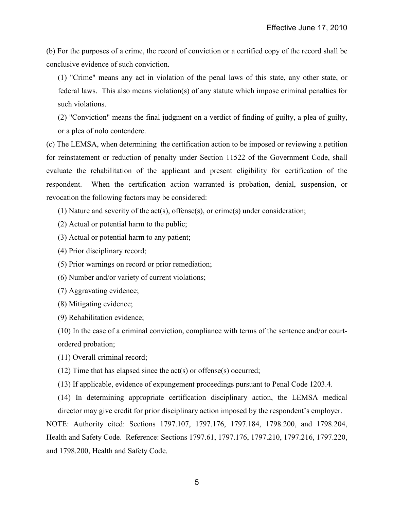(b) For the purposes of a crime, the record of conviction or a certified copy of the record shall be conclusive evidence of such conviction.

(1) "Crime" means any act in violation of the penal laws of this state, any other state, or federal laws. This also means violation(s) of any statute which impose criminal penalties for such violations.

(2) "Conviction" means the final judgment on a verdict of finding of guilty, a plea of guilty, or a plea of nolo contendere.

(c) The LEMSA, when determining the certification action to be imposed or reviewing a petition for reinstatement or reduction of penalty under Section 11522 of the Government Code, shall evaluate the rehabilitation of the applicant and present eligibility for certification of the respondent. When the certification action warranted is probation, denial, suspension, or revocation the following factors may be considered:

 $(1)$  Nature and severity of the act(s), offense(s), or crime(s) under consideration;

- (2) Actual or potential harm to the public;
- (3) Actual or potential harm to any patient;
- (4) Prior disciplinary record;
- (5) Prior warnings on record or prior remediation;
- (6) Number and/or variety of current violations;
- (7) Aggravating evidence;
- (8) Mitigating evidence;
- (9) Rehabilitation evidence;

(10) In the case of a criminal conviction, compliance with terms of the sentence and/or courtordered probation;

(11) Overall criminal record;

(12) Time that has elapsed since the act(s) or offense(s) occurred;

- (13) If applicable, evidence of expungement proceedings pursuant to Penal Code 1203.4.
- (14) In determining appropriate certification disciplinary action, the LEMSA medical director may give credit for prior disciplinary action imposed by the respondent's employer.

NOTE: Authority cited: Sections 1797.107, 1797.176, 1797.184, 1798.200, and 1798.204, Health and Safety Code. Reference: Sections 1797.61, 1797.176, 1797.210, 1797.216, 1797.220, and 1798.200, Health and Safety Code.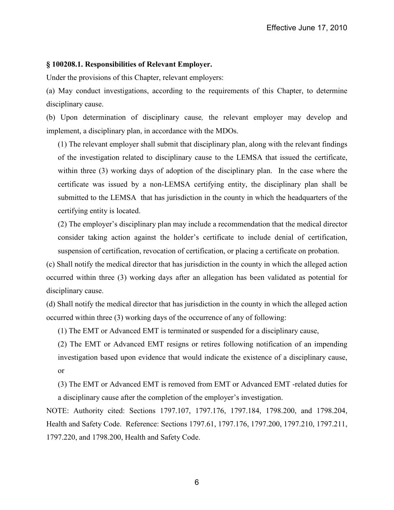## **§ 100208.1. Responsibilities of Relevant Employer.**

Under the provisions of this Chapter, relevant employers:

(a) May conduct investigations, according to the requirements of this Chapter, to determine disciplinary cause.

(b) Upon determination of disciplinary cause*,* the relevant employer may develop and implement, a disciplinary plan, in accordance with the MDOs.

(1) The relevant employer shall submit that disciplinary plan, along with the relevant findings of the investigation related to disciplinary cause to the LEMSA that issued the certificate, within three (3) working days of adoption of the disciplinary plan. In the case where the certificate was issued by a non-LEMSA certifying entity, the disciplinary plan shall be submitted to the LEMSA that has jurisdiction in the county in which the headquarters of the certifying entity is located.

(2) The employer's disciplinary plan may include a recommendation that the medical director consider taking action against the holder's certificate to include denial of certification, suspension of certification, revocation of certification, or placing a certificate on probation.

(c) Shall notify the medical director that has jurisdiction in the county in which the alleged action occurred within three (3) working days after an allegation has been validated as potential for disciplinary cause.

(d) Shall notify the medical director that has jurisdiction in the county in which the alleged action occurred within three (3) working days of the occurrence of any of following:

(1) The EMT or Advanced EMT is terminated or suspended for a disciplinary cause,

(2) The EMT or Advanced EMT resigns or retires following notification of an impending investigation based upon evidence that would indicate the existence of a disciplinary cause, or

(3) The EMT or Advanced EMT is removed from EMT or Advanced EMT -related duties for a disciplinary cause after the completion of the employer's investigation.

NOTE: Authority cited: Sections 1797.107, 1797.176, 1797.184, 1798.200, and 1798.204, Health and Safety Code. Reference: Sections 1797.61, 1797.176, 1797.200, 1797.210, 1797.211, 1797.220, and 1798.200, Health and Safety Code.

6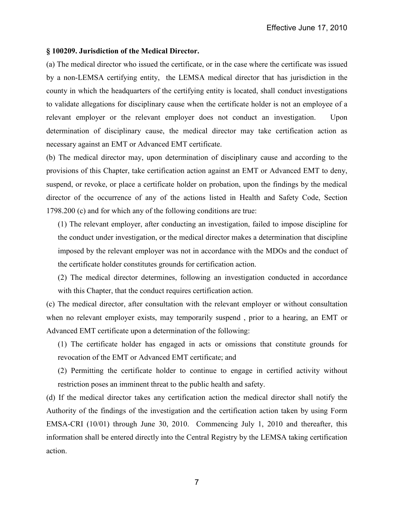## **§ 100209. Jurisdiction of the Medical Director.**

(a) The medical director who issued the certificate, or in the case where the certificate was issued by a non-LEMSA certifying entity, the LEMSA medical director that has jurisdiction in the county in which the headquarters of the certifying entity is located, shall conduct investigations to validate allegations for disciplinary cause when the certificate holder is not an employee of a relevant employer or the relevant employer does not conduct an investigation. Upon determination of disciplinary cause, the medical director may take certification action as necessary against an EMT or Advanced EMT certificate.

(b) The medical director may, upon determination of disciplinary cause and according to the provisions of this Chapter, take certification action against an EMT or Advanced EMT to deny, suspend, or revoke, or place a certificate holder on probation, upon the findings by the medical director of the occurrence of any of the actions listed in Health and Safety Code, Section 1798.200 (c) and for which any of the following conditions are true:

(1) The relevant employer, after conducting an investigation, failed to impose discipline for the conduct under investigation, or the medical director makes a determination that discipline imposed by the relevant employer was not in accordance with the MDOs and the conduct of the certificate holder constitutes grounds for certification action.

(2) The medical director determines, following an investigation conducted in accordance with this Chapter, that the conduct requires certification action.

(c) The medical director, after consultation with the relevant employer or without consultation when no relevant employer exists, may temporarily suspend , prior to a hearing, an EMT or Advanced EMT certificate upon a determination of the following:

(1) The certificate holder has engaged in acts or omissions that constitute grounds for revocation of the EMT or Advanced EMT certificate; and

(2) Permitting the certificate holder to continue to engage in certified activity without restriction poses an imminent threat to the public health and safety.

(d) If the medical director takes any certification action the medical director shall notify the Authority of the findings of the investigation and the certification action taken by using Form EMSA-CRI (10/01) through June 30, 2010. Commencing July 1, 2010 and thereafter, this information shall be entered directly into the Central Registry by the LEMSA taking certification action.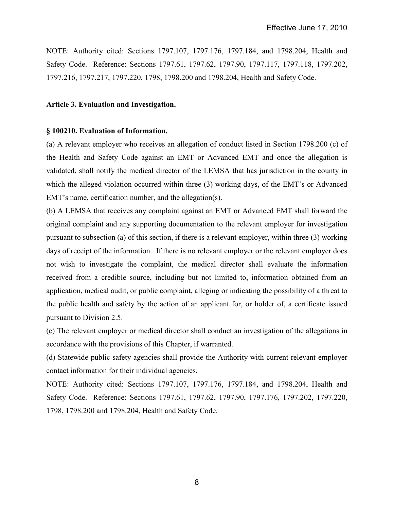NOTE: Authority cited: Sections 1797.107, 1797.176, 1797.184, and 1798.204, Health and Safety Code. Reference: Sections 1797.61, 1797.62, 1797.90, 1797.117, 1797.118, 1797.202, 1797.216, 1797.217, 1797.220, 1798, 1798.200 and 1798.204, Health and Safety Code.

## **Article 3. Evaluation and Investigation.**

## **§ 100210. Evaluation of Information.**

(a) A relevant employer who receives an allegation of conduct listed in Section 1798.200 (c) of the Health and Safety Code against an EMT or Advanced EMT and once the allegation is validated, shall notify the medical director of the LEMSA that has jurisdiction in the county in which the alleged violation occurred within three (3) working days, of the EMT's or Advanced EMT's name, certification number, and the allegation(s).

(b) A LEMSA that receives any complaint against an EMT or Advanced EMT shall forward the original complaint and any supporting documentation to the relevant employer for investigation pursuant to subsection (a) of this section, if there is a relevant employer, within three (3) working days of receipt of the information. If there is no relevant employer or the relevant employer does not wish to investigate the complaint, the medical director shall evaluate the information received from a credible source, including but not limited to, information obtained from an application, medical audit, or public complaint, alleging or indicating the possibility of a threat to the public health and safety by the action of an applicant for, or holder of, a certificate issued pursuant to Division 2.5.

(c) The relevant employer or medical director shall conduct an investigation of the allegations in accordance with the provisions of this Chapter, if warranted.

(d) Statewide public safety agencies shall provide the Authority with current relevant employer contact information for their individual agencies.

NOTE: Authority cited: Sections 1797.107, 1797.176, 1797.184, and 1798.204, Health and Safety Code. Reference: Sections 1797.61, 1797.62, 1797.90, 1797.176, 1797.202, 1797.220, 1798, 1798.200 and 1798.204, Health and Safety Code.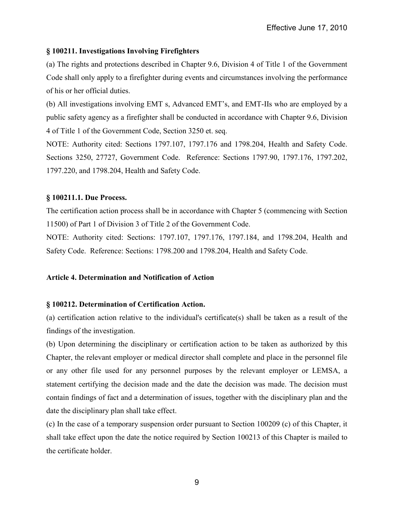## **§ 100211. Investigations Involving Firefighters**

(a) The rights and protections described in Chapter 9.6, Division 4 of Title 1 of the Government Code shall only apply to a firefighter during events and circumstances involving the performance of his or her official duties.

(b) All investigations involving EMT s, Advanced EMT's, and EMT-IIs who are employed by a public safety agency as a firefighter shall be conducted in accordance with Chapter 9.6, Division 4 of Title 1 of the Government Code, Section 3250 et. seq.

NOTE: Authority cited: Sections 1797.107, 1797.176 and 1798.204, Health and Safety Code. Sections 3250, 27727, Government Code. Reference: Sections 1797.90, 1797.176, 1797.202, 1797.220, and 1798.204, Health and Safety Code.

# **§ 100211.1. Due Process.**

The certification action process shall be in accordance with Chapter 5 (commencing with Section 11500) of Part 1 of Division 3 of Title 2 of the Government Code.

NOTE: Authority cited: Sections: 1797.107, 1797.176, 1797.184, and 1798.204, Health and Safety Code. Reference: Sections: 1798.200 and 1798.204, Health and Safety Code.

# **Article 4. Determination and Notification of Action**

## **§ 100212. Determination of Certification Action.**

(a) certification action relative to the individual's certificate(s) shall be taken as a result of the findings of the investigation.

(b) Upon determining the disciplinary or certification action to be taken as authorized by this Chapter, the relevant employer or medical director shall complete and place in the personnel file or any other file used for any personnel purposes by the relevant employer or LEMSA, a statement certifying the decision made and the date the decision was made. The decision must contain findings of fact and a determination of issues, together with the disciplinary plan and the date the disciplinary plan shall take effect.

(c) In the case of a temporary suspension order pursuant to Section 100209 (c) of this Chapter, it shall take effect upon the date the notice required by Section 100213 of this Chapter is mailed to the certificate holder.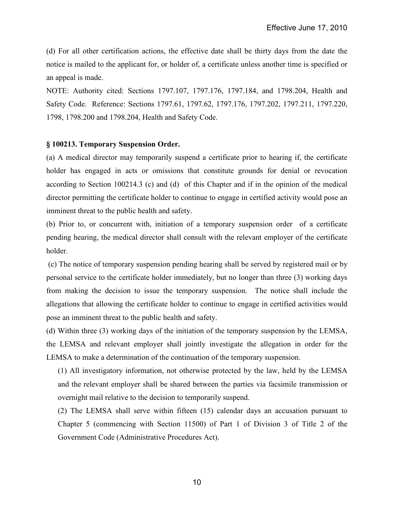(d) For all other certification actions, the effective date shall be thirty days from the date the notice is mailed to the applicant for, or holder of, a certificate unless another time is specified or an appeal is made.

NOTE: Authority cited: Sections 1797.107, 1797.176, 1797.184, and 1798.204, Health and Safety Code. Reference: Sections 1797.61, 1797.62, 1797.176, 1797.202, 1797.211, 1797.220, 1798, 1798.200 and 1798.204, Health and Safety Code.

## **§ 100213. Temporary Suspension Order.**

(a) A medical director may temporarily suspend a certificate prior to hearing if, the certificate holder has engaged in acts or omissions that constitute grounds for denial or revocation according to Section 100214.3 (c) and (d) of this Chapter and if in the opinion of the medical director permitting the certificate holder to continue to engage in certified activity would pose an imminent threat to the public health and safety.

(b) Prior to, or concurrent with, initiation of a temporary suspension order of a certificate pending hearing, the medical director shall consult with the relevant employer of the certificate holder.

 (c) The notice of temporary suspension pending hearing shall be served by registered mail or by personal service to the certificate holder immediately, but no longer than three (3) working days from making the decision to issue the temporary suspension. The notice shall include the allegations that allowing the certificate holder to continue to engage in certified activities would pose an imminent threat to the public health and safety.

(d) Within three (3) working days of the initiation of the temporary suspension by the LEMSA, the LEMSA and relevant employer shall jointly investigate the allegation in order for the LEMSA to make a determination of the continuation of the temporary suspension.

(1) All investigatory information, not otherwise protected by the law, held by the LEMSA and the relevant employer shall be shared between the parties via facsimile transmission or overnight mail relative to the decision to temporarily suspend.

(2) The LEMSA shall serve within fifteen (15) calendar days an accusation pursuant to Chapter 5 (commencing with Section 11500) of Part 1 of Division 3 of Title 2 of the Government Code (Administrative Procedures Act).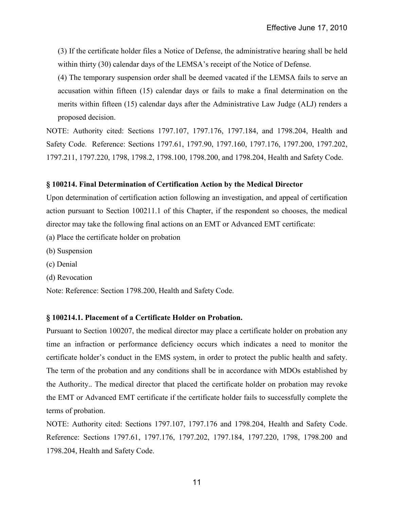(3) If the certificate holder files a Notice of Defense, the administrative hearing shall be held within thirty (30) calendar days of the LEMSA's receipt of the Notice of Defense.

(4) The temporary suspension order shall be deemed vacated if the LEMSA fails to serve an accusation within fifteen (15) calendar days or fails to make a final determination on the merits within fifteen (15) calendar days after the Administrative Law Judge (ALJ) renders a proposed decision.

NOTE: Authority cited: Sections 1797.107, 1797.176, 1797.184, and 1798.204, Health and Safety Code. Reference: Sections 1797.61, 1797.90, 1797.160, 1797.176, 1797.200, 1797.202, 1797.211, 1797.220, 1798, 1798.2, 1798.100, 1798.200, and 1798.204, Health and Safety Code.

## **§ 100214. Final Determination of Certification Action by the Medical Director**

Upon determination of certification action following an investigation, and appeal of certification action pursuant to Section 100211.1 of this Chapter, if the respondent so chooses, the medical director may take the following final actions on an EMT or Advanced EMT certificate:

- (a) Place the certificate holder on probation
- (b) Suspension
- (c) Denial
- (d) Revocation

Note: Reference: Section 1798.200, Health and Safety Code.

## **§ 100214.1. Placement of a Certificate Holder on Probation.**

Pursuant to Section 100207, the medical director may place a certificate holder on probation any time an infraction or performance deficiency occurs which indicates a need to monitor the certificate holder's conduct in the EMS system, in order to protect the public health and safety. The term of the probation and any conditions shall be in accordance with MDOs established by the Authority.. The medical director that placed the certificate holder on probation may revoke the EMT or Advanced EMT certificate if the certificate holder fails to successfully complete the terms of probation.

NOTE: Authority cited: Sections 1797.107, 1797.176 and 1798.204, Health and Safety Code. Reference: Sections 1797.61, 1797.176, 1797.202, 1797.184, 1797.220, 1798, 1798.200 and 1798.204, Health and Safety Code.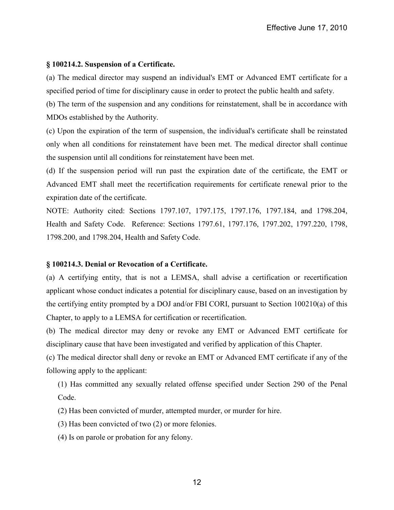## **§ 100214.2. Suspension of a Certificate.**

(a) The medical director may suspend an individual's EMT or Advanced EMT certificate for a specified period of time for disciplinary cause in order to protect the public health and safety.

(b) The term of the suspension and any conditions for reinstatement, shall be in accordance with MDOs established by the Authority.

(c) Upon the expiration of the term of suspension, the individual's certificate shall be reinstated only when all conditions for reinstatement have been met. The medical director shall continue the suspension until all conditions for reinstatement have been met.

(d) If the suspension period will run past the expiration date of the certificate, the EMT or Advanced EMT shall meet the recertification requirements for certificate renewal prior to the expiration date of the certificate.

NOTE: Authority cited: Sections 1797.107, 1797.175, 1797.176, 1797.184, and 1798.204, Health and Safety Code. Reference: Sections 1797.61, 1797.176, 1797.202, 1797.220, 1798, 1798.200, and 1798.204, Health and Safety Code.

## **§ 100214.3. Denial or Revocation of a Certificate.**

(a) A certifying entity, that is not a LEMSA, shall advise a certification or recertification applicant whose conduct indicates a potential for disciplinary cause, based on an investigation by the certifying entity prompted by a DOJ and/or FBI CORI, pursuant to Section 100210(a) of this Chapter, to apply to a LEMSA for certification or recertification.

(b) The medical director may deny or revoke any EMT or Advanced EMT certificate for disciplinary cause that have been investigated and verified by application of this Chapter.

(c) The medical director shall deny or revoke an EMT or Advanced EMT certificate if any of the following apply to the applicant:

(1) Has committed any sexually related offense specified under Section 290 of the Penal Code.

(2) Has been convicted of murder, attempted murder, or murder for hire.

(3) Has been convicted of two (2) or more felonies.

(4) Is on parole or probation for any felony.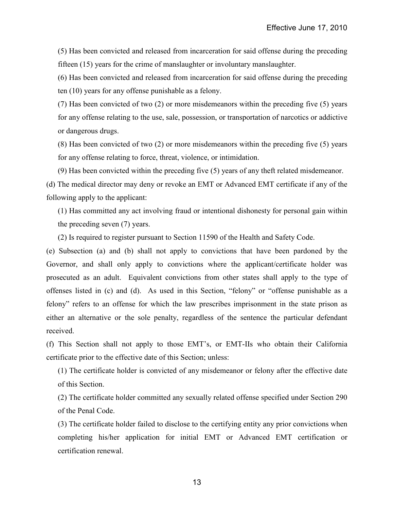(5) Has been convicted and released from incarceration for said offense during the preceding fifteen (15) years for the crime of manslaughter or involuntary manslaughter.

(6) Has been convicted and released from incarceration for said offense during the preceding ten (10) years for any offense punishable as a felony.

(7) Has been convicted of two (2) or more misdemeanors within the preceding five (5) years for any offense relating to the use, sale, possession, or transportation of narcotics or addictive or dangerous drugs.

(8) Has been convicted of two (2) or more misdemeanors within the preceding five (5) years for any offense relating to force, threat, violence, or intimidation.

(9) Has been convicted within the preceding five (5) years of any theft related misdemeanor.

(d) The medical director may deny or revoke an EMT or Advanced EMT certificate if any of the following apply to the applicant:

(1) Has committed any act involving fraud or intentional dishonesty for personal gain within the preceding seven (7) years.

(2) Is required to register pursuant to Section 11590 of the Health and Safety Code.

(e) Subsection (a) and (b) shall not apply to convictions that have been pardoned by the Governor, and shall only apply to convictions where the applicant/certificate holder was prosecuted as an adult. Equivalent convictions from other states shall apply to the type of offenses listed in (c) and (d). As used in this Section, "felony" or "offense punishable as a felony" refers to an offense for which the law prescribes imprisonment in the state prison as either an alternative or the sole penalty, regardless of the sentence the particular defendant received.

(f) This Section shall not apply to those EMT's, or EMT-IIs who obtain their California certificate prior to the effective date of this Section; unless:

(1) The certificate holder is convicted of any misdemeanor or felony after the effective date of this Section.

(2) The certificate holder committed any sexually related offense specified under Section 290 of the Penal Code.

(3) The certificate holder failed to disclose to the certifying entity any prior convictions when completing his/her application for initial EMT or Advanced EMT certification or certification renewal.

13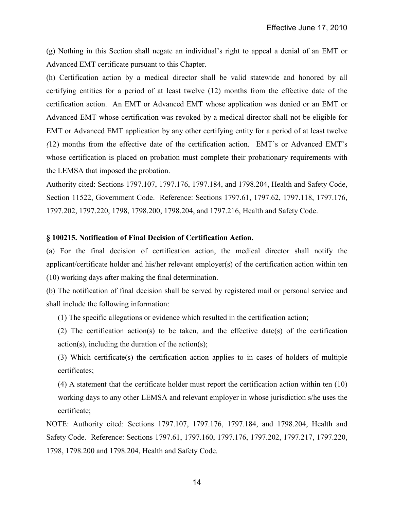(g) Nothing in this Section shall negate an individual's right to appeal a denial of an EMT or Advanced EMT certificate pursuant to this Chapter.

(h) Certification action by a medical director shall be valid statewide and honored by all certifying entities for a period of at least twelve (12) months from the effective date of the certification action. An EMT or Advanced EMT whose application was denied or an EMT or Advanced EMT whose certification was revoked by a medical director shall not be eligible for EMT or Advanced EMT application by any other certifying entity for a period of at least twelve *(*12) months from the effective date of the certification action. EMT's or Advanced EMT's whose certification is placed on probation must complete their probationary requirements with the LEMSA that imposed the probation.

Authority cited: Sections 1797.107, 1797.176, 1797.184, and 1798.204, Health and Safety Code, Section 11522, Government Code. Reference: Sections 1797.61, 1797.62, 1797.118, 1797.176, 1797.202, 1797.220, 1798, 1798.200, 1798.204, and 1797.216, Health and Safety Code.

## **§ 100215. Notification of Final Decision of Certification Action.**

(a) For the final decision of certification action, the medical director shall notify the applicant/certificate holder and his/her relevant employer(s) of the certification action within ten (10) working days after making the final determination.

(b) The notification of final decision shall be served by registered mail or personal service and shall include the following information:

(1) The specific allegations or evidence which resulted in the certification action;

(2) The certification action(s) to be taken, and the effective date(s) of the certification  $action(s)$ , including the duration of the action(s);

(3) Which certificate(s) the certification action applies to in cases of holders of multiple certificates;

(4) A statement that the certificate holder must report the certification action within ten (10) working days to any other LEMSA and relevant employer in whose jurisdiction s/he uses the certificate;

NOTE: Authority cited: Sections 1797.107, 1797.176, 1797.184, and 1798.204, Health and Safety Code. Reference: Sections 1797.61, 1797.160, 1797.176, 1797.202, 1797.217, 1797.220, 1798, 1798.200 and 1798.204, Health and Safety Code.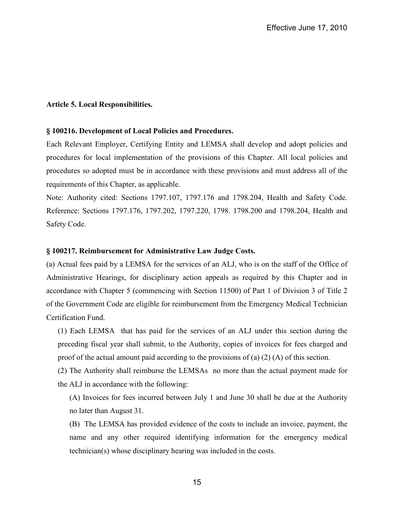## **Article 5. Local Responsibilities.**

#### **§ 100216. Development of Local Policies and Procedures.**

Each Relevant Employer, Certifying Entity and LEMSA shall develop and adopt policies and procedures for local implementation of the provisions of this Chapter. All local policies and procedures so adopted must be in accordance with these provisions and must address all of the requirements of this Chapter, as applicable.

Note: Authority cited: Sections 1797.107, 1797.176 and 1798.204, Health and Safety Code. Reference: Sections 1797.176, 1797.202, 1797.220, 1798. 1798.200 and 1798.204, Health and Safety Code.

## **§ 100217. Reimbursement for Administrative Law Judge Costs.**

(a) Actual fees paid by a LEMSA for the services of an ALJ, who is on the staff of the Office of Administrative Hearings, for disciplinary action appeals as required by this Chapter and in accordance with Chapter 5 (commencing with Section 11500) of Part 1 of Division 3 of Title 2 of the Government Code are eligible for reimbursement from the Emergency Medical Technician Certification Fund.

(1) Each LEMSA that has paid for the services of an ALJ under this section during the preceding fiscal year shall submit, to the Authority, copies of invoices for fees charged and proof of the actual amount paid according to the provisions of (a) (2) (A) of this section.

(2) The Authority shall reimburse the LEMSAs no more than the actual payment made for the ALJ in accordance with the following:

(A) Invoices for fees incurred between July 1 and June 30 shall be due at the Authority no later than August 31.

(B) The LEMSA has provided evidence of the costs to include an invoice, payment, the name and any other required identifying information for the emergency medical technician(s) whose disciplinary hearing was included in the costs.